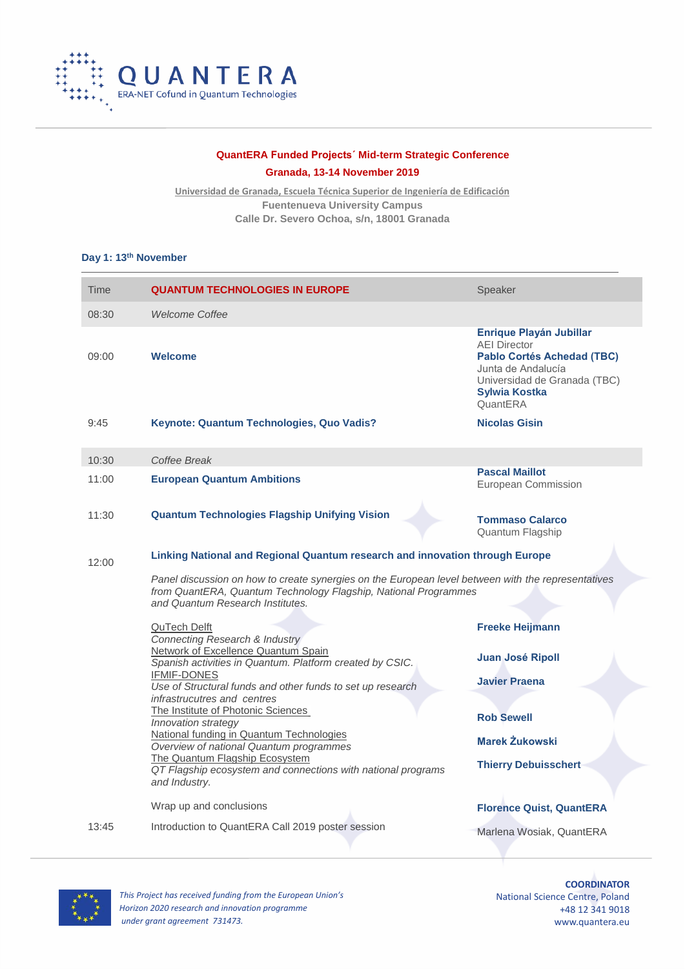

## **QuantERA Funded Projects´ Mid-term Strategic Conference**

**Granada, 13-14 November 2019**

**Universidad de Granada, Escuela Técnica Superior de Ingeniería de Edificación Fuentenueva University Campus Calle Dr. Severo Ochoa, s/n, 18001 Granada**

### **Day 1: 13th November**

| Time  | <b>QUANTUM TECHNOLOGIES IN EUROPE</b>                                                                                                                                                                                                                                                                                                                                                                                                                                                     | Speaker                                                                                                                                                                              |  |  |
|-------|-------------------------------------------------------------------------------------------------------------------------------------------------------------------------------------------------------------------------------------------------------------------------------------------------------------------------------------------------------------------------------------------------------------------------------------------------------------------------------------------|--------------------------------------------------------------------------------------------------------------------------------------------------------------------------------------|--|--|
| 08:30 | <b>Welcome Coffee</b>                                                                                                                                                                                                                                                                                                                                                                                                                                                                     |                                                                                                                                                                                      |  |  |
| 09:00 | <b>Welcome</b>                                                                                                                                                                                                                                                                                                                                                                                                                                                                            | <b>Enrique Playán Jubillar</b><br><b>AEI Director</b><br><b>Pablo Cortés Achedad (TBC)</b><br>Junta de Andalucía<br>Universidad de Granada (TBC)<br><b>Sylwia Kostka</b><br>QuantERA |  |  |
| 9:45  | Keynote: Quantum Technologies, Quo Vadis?                                                                                                                                                                                                                                                                                                                                                                                                                                                 | <b>Nicolas Gisin</b>                                                                                                                                                                 |  |  |
| 10:30 | Coffee Break                                                                                                                                                                                                                                                                                                                                                                                                                                                                              |                                                                                                                                                                                      |  |  |
| 11:00 | <b>European Quantum Ambitions</b>                                                                                                                                                                                                                                                                                                                                                                                                                                                         | <b>Pascal Maillot</b><br>European Commission                                                                                                                                         |  |  |
| 11:30 | <b>Quantum Technologies Flagship Unifying Vision</b>                                                                                                                                                                                                                                                                                                                                                                                                                                      | <b>Tommaso Calarco</b><br>Quantum Flagship                                                                                                                                           |  |  |
| 12:00 | Linking National and Regional Quantum research and innovation through Europe                                                                                                                                                                                                                                                                                                                                                                                                              |                                                                                                                                                                                      |  |  |
|       | Panel discussion on how to create synergies on the European level between with the representatives<br>from QuantERA, Quantum Technology Flagship, National Programmes<br>and Quantum Research Institutes.                                                                                                                                                                                                                                                                                 |                                                                                                                                                                                      |  |  |
|       | QuTech Delft<br>Connecting Research & Industry                                                                                                                                                                                                                                                                                                                                                                                                                                            | <b>Freeke Heijmann</b>                                                                                                                                                               |  |  |
|       | Network of Excellence Quantum Spain<br>Spanish activities in Quantum. Platform created by CSIC.<br><b>IFMIF-DONES</b><br>Use of Structural funds and other funds to set up research<br>infrastrucutres and centres<br>The Institute of Photonic Sciences<br>Innovation strategy<br>National funding in Quantum Technologies<br>Overview of national Quantum programmes<br>The Quantum Flagship Ecosystem<br>QT Flagship ecosystem and connections with national programs<br>and Industry. | Juan José Ripoll                                                                                                                                                                     |  |  |
|       |                                                                                                                                                                                                                                                                                                                                                                                                                                                                                           | <b>Javier Praena</b>                                                                                                                                                                 |  |  |
|       |                                                                                                                                                                                                                                                                                                                                                                                                                                                                                           | <b>Rob Sewell</b>                                                                                                                                                                    |  |  |
|       |                                                                                                                                                                                                                                                                                                                                                                                                                                                                                           | <b>Marek Żukowski</b>                                                                                                                                                                |  |  |
|       |                                                                                                                                                                                                                                                                                                                                                                                                                                                                                           | <b>Thierry Debuisschert</b>                                                                                                                                                          |  |  |
|       | Wrap up and conclusions                                                                                                                                                                                                                                                                                                                                                                                                                                                                   | <b>Florence Quist, QuantERA</b>                                                                                                                                                      |  |  |
| 13:45 | Introduction to QuantERA Call 2019 poster session                                                                                                                                                                                                                                                                                                                                                                                                                                         | Marlena Wosiak, QuantERA                                                                                                                                                             |  |  |



*This Project has received funding from the European Union's Horizon 2020 research and innovation programme under grant agreement 731473.*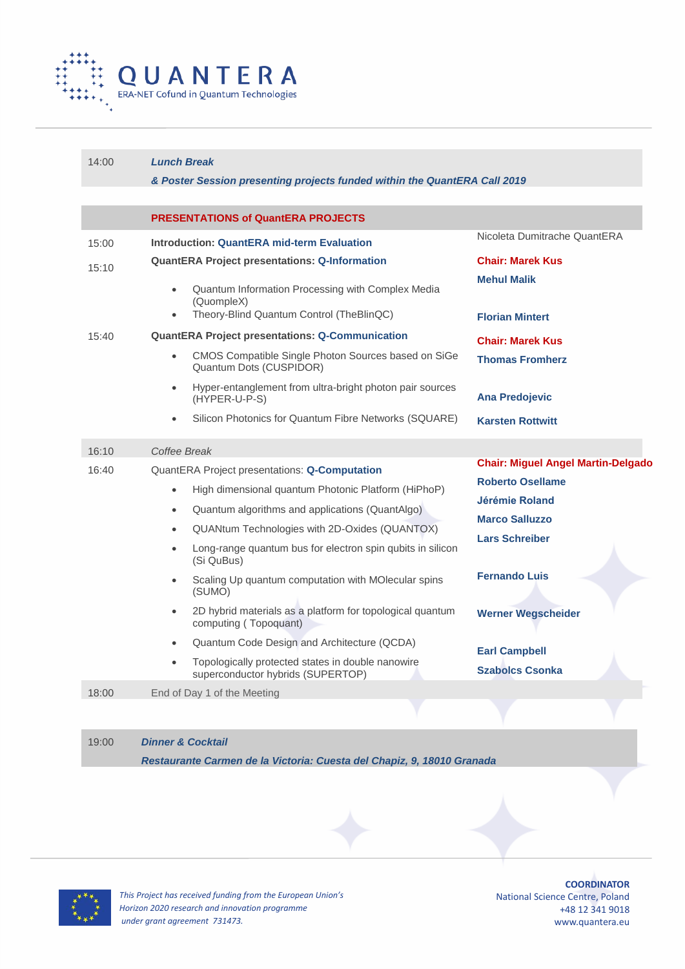

| 14:00 | <b>Lunch Break</b><br>& Poster Session presenting projects funded within the QuantERA Call 2019                                      |                                                                                             |  |
|-------|--------------------------------------------------------------------------------------------------------------------------------------|---------------------------------------------------------------------------------------------|--|
|       | <b>PRESENTATIONS of QuantERA PROJECTS</b>                                                                                            |                                                                                             |  |
| 15:00 | <b>Introduction: QuantERA mid-term Evaluation</b>                                                                                    | Nicoleta Dumitrache QuantERA                                                                |  |
| 15:10 | <b>QuantERA Project presentations: Q-Information</b><br>Quantum Information Processing with Complex Media<br>$\bullet$<br>(QuompleX) | <b>Chair: Marek Kus</b><br><b>Mehul Malik</b>                                               |  |
|       | Theory-Blind Quantum Control (TheBlinQC)<br>$\bullet$                                                                                | <b>Florian Mintert</b>                                                                      |  |
| 15:40 | <b>QuantERA Project presentations: Q-Communication</b>                                                                               | <b>Chair: Marek Kus</b>                                                                     |  |
|       | CMOS Compatible Single Photon Sources based on SiGe<br>$\bullet$<br>Quantum Dots (CUSPIDOR)                                          | <b>Thomas Fromherz</b>                                                                      |  |
|       | Hyper-entanglement from ultra-bright photon pair sources<br>$\bullet$<br>(HYPER-U-P-S)                                               | <b>Ana Predojevic</b>                                                                       |  |
|       | Silicon Photonics for Quantum Fibre Networks (SQUARE)<br>$\bullet$                                                                   | <b>Karsten Rottwitt</b>                                                                     |  |
| 16:10 | Coffee Break                                                                                                                         |                                                                                             |  |
| 16:40 | <b>QuantERA Project presentations: Q-Computation</b>                                                                                 | <b>Chair: Miguel Angel Martin-Delgado</b>                                                   |  |
|       | High dimensional quantum Photonic Platform (HiPhoP)<br>$\bullet$                                                                     | <b>Roberto Osellame</b><br>Jérémie Roland<br><b>Marco Salluzzo</b><br><b>Lars Schreiber</b> |  |
|       | Quantum algorithms and applications (QuantAlgo)<br>$\bullet$                                                                         |                                                                                             |  |
|       | QUANtum Technologies with 2D-Oxides (QUANTOX)<br>$\bullet$                                                                           |                                                                                             |  |
|       | Long-range quantum bus for electron spin qubits in silicon<br>(Si QuBus)                                                             |                                                                                             |  |
|       | Scaling Up quantum computation with MOlecular spins<br>(SUMO)                                                                        | <b>Fernando Luis</b>                                                                        |  |
|       | 2D hybrid materials as a platform for topological quantum<br>$\bullet$<br>computing (Topoquant)                                      | <b>Werner Wegscheider</b>                                                                   |  |
|       | Quantum Code Design and Architecture (QCDA)<br>$\bullet$                                                                             | <b>Earl Campbell</b><br><b>Szabolcs Csonka</b>                                              |  |
|       | Topologically protected states in double nanowire<br>$\bullet$<br>superconductor hybrids (SUPERTOP)                                  |                                                                                             |  |
| 18:00 | End of Day 1 of the Meeting                                                                                                          |                                                                                             |  |

# 19:00 *Dinner & Cocktail Restaurante Carmen de la Victoria: Cuesta del Chapiz, 9, 18010 Granada*





*This Project has received funding from the European Union's Horizon 2020 research and innovation programme under grant agreement 731473.*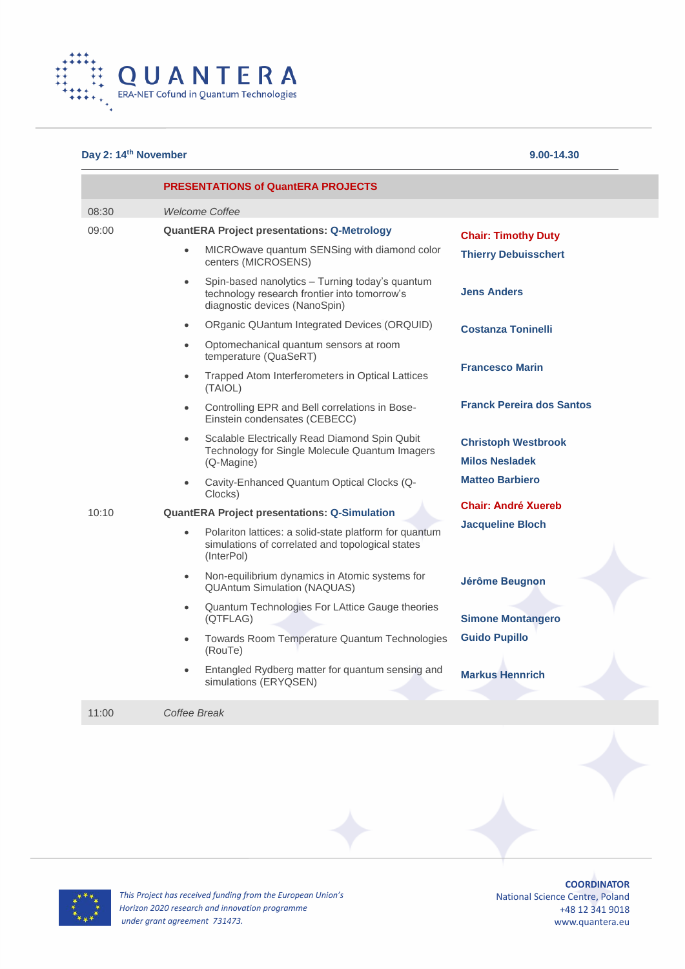

## **Day 2: 14th November 9.00-14.30**

|       | <b>PRESENTATIONS of QuantERA PROJECTS</b>                                                                                                     |                                                     |  |
|-------|-----------------------------------------------------------------------------------------------------------------------------------------------|-----------------------------------------------------|--|
| 08:30 | <b>Welcome Coffee</b>                                                                                                                         |                                                     |  |
| 09:00 | <b>QuantERA Project presentations: Q-Metrology</b>                                                                                            | <b>Chair: Timothy Duty</b>                          |  |
|       | MICROwave quantum SENSing with diamond color<br>$\bullet$<br>centers (MICROSENS)                                                              | <b>Thierry Debuisschert</b>                         |  |
|       | Spin-based nanolytics - Turning today's quantum<br>$\bullet$<br>technology research frontier into tomorrow's<br>diagnostic devices (NanoSpin) | <b>Jens Anders</b>                                  |  |
|       | ORganic QUantum Integrated Devices (ORQUID)<br>$\bullet$                                                                                      | <b>Costanza Toninelli</b>                           |  |
|       | Optomechanical quantum sensors at room<br>$\bullet$<br>temperature (QuaSeRT)                                                                  |                                                     |  |
|       | Trapped Atom Interferometers in Optical Lattices<br>$\bullet$<br>(TAIOL)                                                                      | <b>Francesco Marin</b>                              |  |
|       | Controlling EPR and Bell correlations in Bose-<br>$\bullet$<br>Einstein condensates (CEBECC)                                                  | <b>Franck Pereira dos Santos</b>                    |  |
|       | Scalable Electrically Read Diamond Spin Qubit<br>$\bullet$<br>Technology for Single Molecule Quantum Imagers<br>(Q-Magine)                    | <b>Christoph Westbrook</b><br><b>Milos Nesladek</b> |  |
|       | Cavity-Enhanced Quantum Optical Clocks (Q-<br>$\bullet$<br>Clocks)                                                                            | <b>Matteo Barbiero</b>                              |  |
| 10:10 | <b>QuantERA Project presentations: Q-Simulation</b>                                                                                           | <b>Chair: André Xuereb</b>                          |  |
|       | Polariton lattices: a solid-state platform for quantum<br>$\bullet$<br>simulations of correlated and topological states<br>(InterPol)         | <b>Jacqueline Bloch</b>                             |  |
|       | Non-equilibrium dynamics in Atomic systems for<br>$\bullet$<br><b>QUAntum Simulation (NAQUAS)</b>                                             | Jérôme Beugnon                                      |  |
|       | Quantum Technologies For LAttice Gauge theories<br>$\bullet$<br>(QTFLAG)                                                                      | <b>Simone Montangero</b>                            |  |
|       | Towards Room Temperature Quantum Technologies<br>$\bullet$<br>(RouTe)                                                                         | <b>Guido Pupillo</b>                                |  |
|       | Entangled Rydberg matter for quantum sensing and<br>$\bullet$<br>simulations (ERYQSEN)                                                        | <b>Markus Hennrich</b>                              |  |
| 11:00 | Coffee Break                                                                                                                                  |                                                     |  |